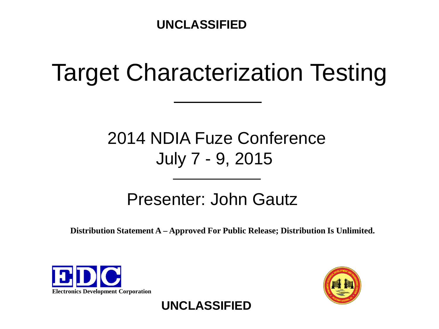### Target Characterization Testing

### 2014 NDIA Fuze Conference July 7 - 9, 2015

### Presenter: John Gautz

**Distribution Statement A – Approved For Public Release; Distribution Is Unlimited.**





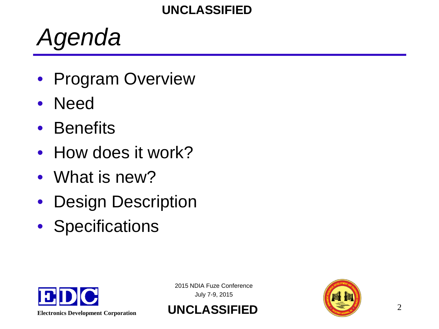### *Agenda*

- Program Overview
- Need
- Benefits
- How does it work?
- What is new?
- Design Description
- Specifications





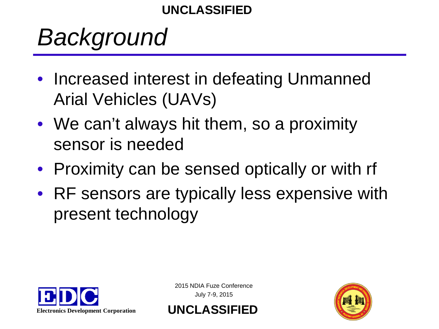## *Background*

- Increased interest in defeating Unmanned Arial Vehicles (UAVs)
- We can't always hit them, so a proximity sensor is needed
- Proximity can be sensed optically or with rf
- RF sensors are typically less expensive with present technology



2015 NDIA Fuze Conference July 7-9, 2015

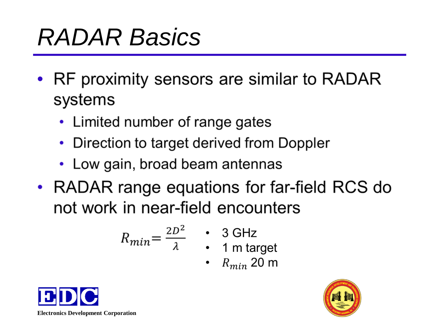# *RADAR Basics*

- RF proximity sensors are similar to RADAR systems
	- Limited number of range gates
	- Direction to target derived from Doppler
	- Low gain, broad beam antennas
- RADAR range equations for far-field RCS do not work in near-field encounters

$$
R_{min} = \frac{2D^2}{\lambda} \qquad \qquad \text{3 GHz} \qquad \text{1 m target}
$$

• 
$$
R_{min}
$$
 20 m



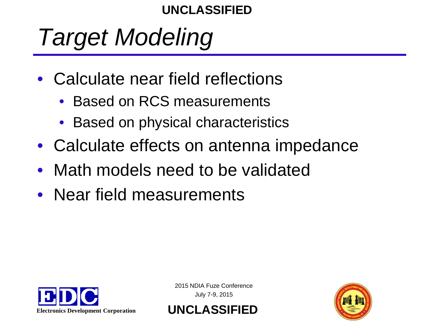# *Target Modeling*

- Calculate near field reflections
	- Based on RCS measurements
	- Based on physical characteristics
- Calculate effects on antenna impedance
- Math models need to be validated
- Near field measurements



2015 NDIA Fuze Conference July 7-9, 2015

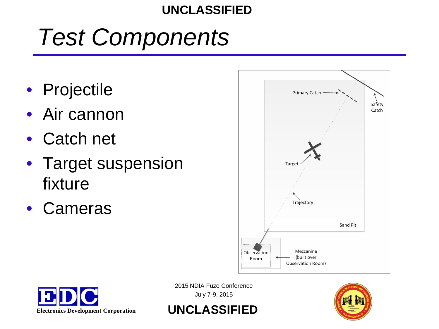## *Test Components*

- Projectile
- Air cannon
- Catch net
- Target suspension fixture
- Cameras







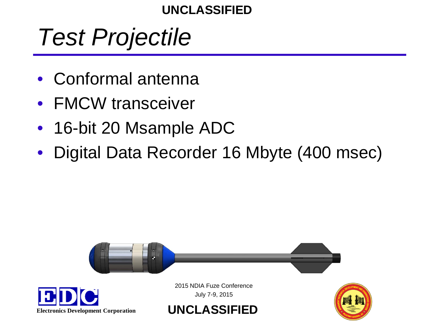### *Test Projectile*

- Conformal antenna
- FMCW transceiver
- 16-bit 20 Msample ADC
- Digital Data Recorder 16 Mbyte (400 msec)

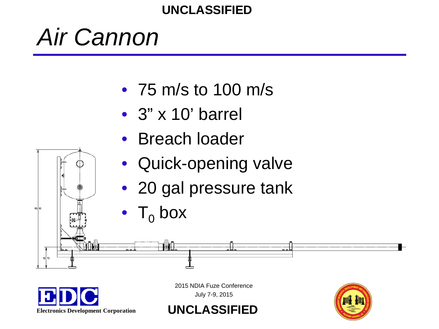### *Air Cannon*

- 75 m/s to 100 m/s
- 3" x 10' barrel
- Breach loader
- Quick-opening valve
- 20 gal pressure tank
- $\mathsf{T}_0$  box

HHL.



60.50

 $10.75$ 

2015 NDIA Fuze Conference July 7-9, 2015

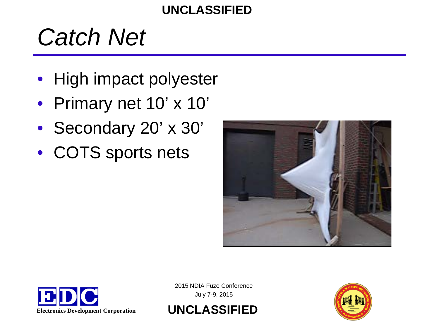## *Catch Net*

- High impact polyester
- Primary net 10' x 10'
- Secondary 20' x 30'
- COTS sports nets







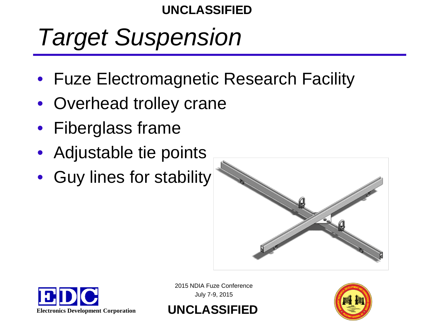# *Target Suspension*

- Fuze Electromagnetic Research Facility
- Overhead trolley crane
- Fiberglass frame
- Adjustable tie points
- Guy lines for stability





2015 NDIA Fuze Conference July 7-9, 2015

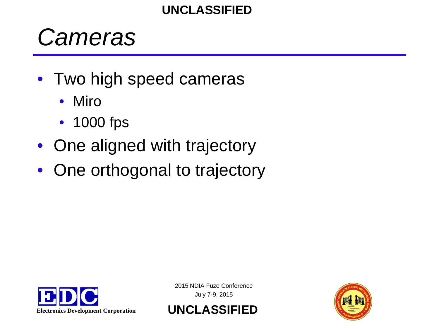### *Cameras*

- Two high speed cameras
	- **Miro**
	- 1000 fps
- One aligned with trajectory
- One orthogonal to trajectory